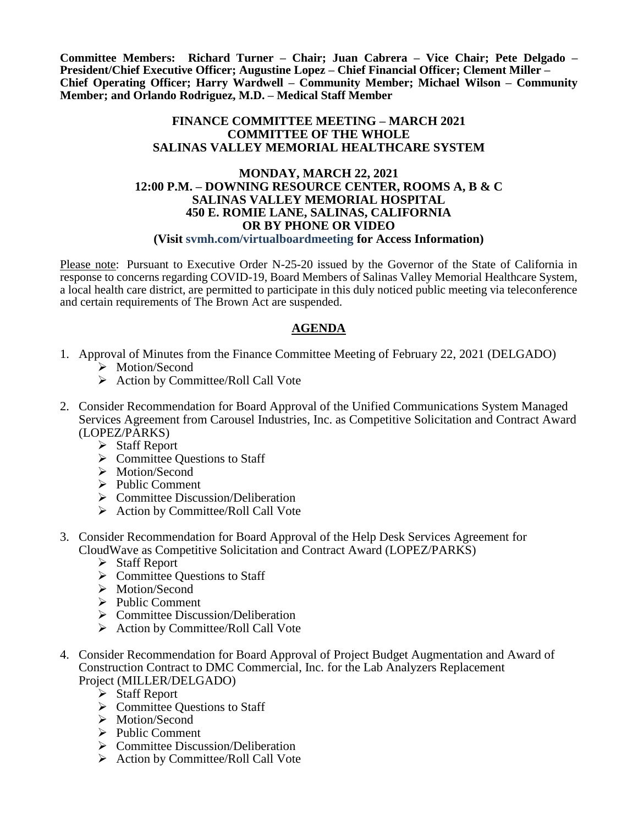**Committee Members: Richard Turner – Chair; Juan Cabrera – Vice Chair; Pete Delgado – President/Chief Executive Officer; Augustine Lopez – Chief Financial Officer; Clement Miller – Chief Operating Officer; Harry Wardwell – Community Member; Michael Wilson – Community Member; and Orlando Rodriguez, M.D. – Medical Staff Member**

## **FINANCE COMMITTEE MEETING – MARCH 2021 COMMITTEE OF THE WHOLE SALINAS VALLEY MEMORIAL HEALTHCARE SYSTEM**

## **MONDAY, MARCH 22, 2021 12:00 P.M. – DOWNING RESOURCE CENTER, ROOMS A, B & C SALINAS VALLEY MEMORIAL HOSPITAL 450 E. ROMIE LANE, SALINAS, CALIFORNIA OR BY PHONE OR VIDEO (Visit svmh.com/virtualboardmeeting for Access Information)**

Please note: Pursuant to Executive Order N-25-20 issued by the Governor of the State of California in response to concerns regarding COVID-19, Board Members of Salinas Valley Memorial Healthcare System, a local health care district, are permitted to participate in this duly noticed public meeting via teleconference and certain requirements of The Brown Act are suspended.

## **AGENDA**

- 1. Approval of Minutes from the Finance Committee Meeting of February 22, 2021 (DELGADO)
	- > Motion/Second
	- $\triangleright$  Action by Committee/Roll Call Vote
- 2. Consider Recommendation for Board Approval of the Unified Communications System Managed Services Agreement from Carousel Industries, Inc. as Competitive Solicitation and Contract Award (LOPEZ/PARKS)
	- Staff Report
	- $\triangleright$  Committee Questions to Staff
	- > Motion/Second
	- $\triangleright$  Public Comment
	- $\triangleright$  Committee Discussion/Deliberation
	- $\triangleright$  Action by Committee/Roll Call Vote
- 3. Consider Recommendation for Board Approval of the Help Desk Services Agreement for CloudWave as Competitive Solicitation and Contract Award (LOPEZ/PARKS)
	- Staff Report
	- $\triangleright$  Committee Questions to Staff
	- > Motion/Second
	- $\triangleright$  Public Comment
	- ▶ Committee Discussion/Deliberation
	- $\triangleright$  Action by Committee/Roll Call Vote
- 4. Consider Recommendation for Board Approval of Project Budget Augmentation and Award of Construction Contract to DMC Commercial, Inc. for the Lab Analyzers Replacement Project (MILLER/DELGADO)
	- Staff Report
	- $\triangleright$  Committee Questions to Staff
	- > Motion/Second
	- $\triangleright$  Public Comment
	- $\triangleright$  Committee Discussion/Deliberation
	- $\triangleright$  Action by Committee/Roll Call Vote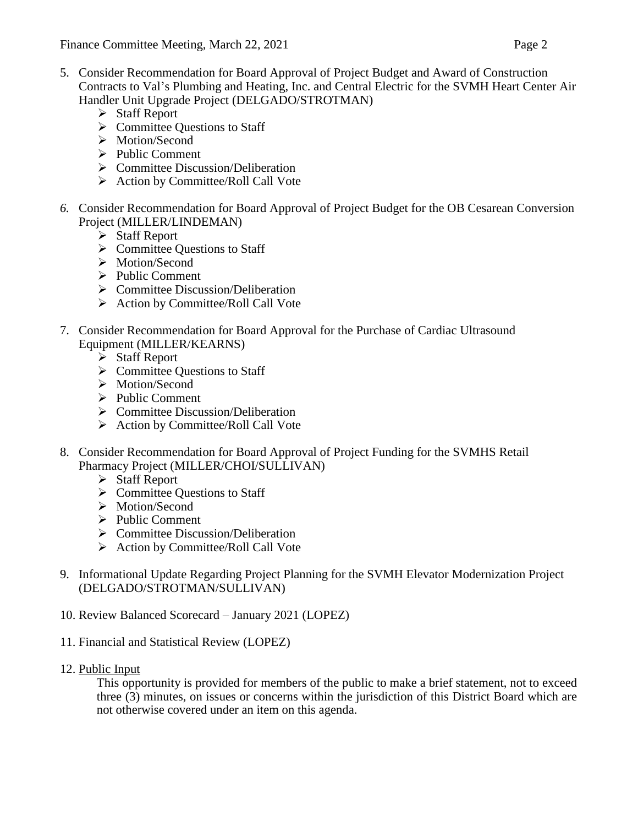- 5. Consider Recommendation for Board Approval of Project Budget and Award of Construction Contracts to Val's Plumbing and Heating, Inc. and Central Electric for the SVMH Heart Center Air Handler Unit Upgrade Project (DELGADO/STROTMAN)
	- $\triangleright$  Staff Report
	- $\triangleright$  Committee Questions to Staff
	- > Motion/Second
	- $\triangleright$  Public Comment
	- $\triangleright$  Committee Discussion/Deliberation
	- $\triangleright$  Action by Committee/Roll Call Vote
- *6.* Consider Recommendation for Board Approval of Project Budget for the OB Cesarean Conversion Project (MILLER/LINDEMAN)
	- $\triangleright$  Staff Report
	- $\triangleright$  Committee Questions to Staff
	- > Motion/Second
	- $\triangleright$  Public Comment
	- $\triangleright$  Committee Discussion/Deliberation
	- $\triangleright$  Action by Committee/Roll Call Vote
- 7. Consider Recommendation for Board Approval for the Purchase of Cardiac Ultrasound Equipment (MILLER/KEARNS)
	- $\triangleright$  Staff Report
	- $\triangleright$  Committee Questions to Staff
	- > Motion/Second
	- $\triangleright$  Public Comment
	- $\triangleright$  Committee Discussion/Deliberation
	- $\triangleright$  Action by Committee/Roll Call Vote
- 8. Consider Recommendation for Board Approval of Project Funding for the SVMHS Retail Pharmacy Project (MILLER/CHOI/SULLIVAN)
	- $\triangleright$  Staff Report
	- $\triangleright$  Committee Questions to Staff
	- > Motion/Second
	- $\triangleright$  Public Comment
	- $\triangleright$  Committee Discussion/Deliberation
	- $\triangleright$  Action by Committee/Roll Call Vote
- 9. Informational Update Regarding Project Planning for the SVMH Elevator Modernization Project (DELGADO/STROTMAN/SULLIVAN)
- 10. Review Balanced Scorecard January 2021 (LOPEZ)
- 11. Financial and Statistical Review (LOPEZ)
- 12. Public Input

This opportunity is provided for members of the public to make a brief statement, not to exceed three (3) minutes, on issues or concerns within the jurisdiction of this District Board which are not otherwise covered under an item on this agenda.